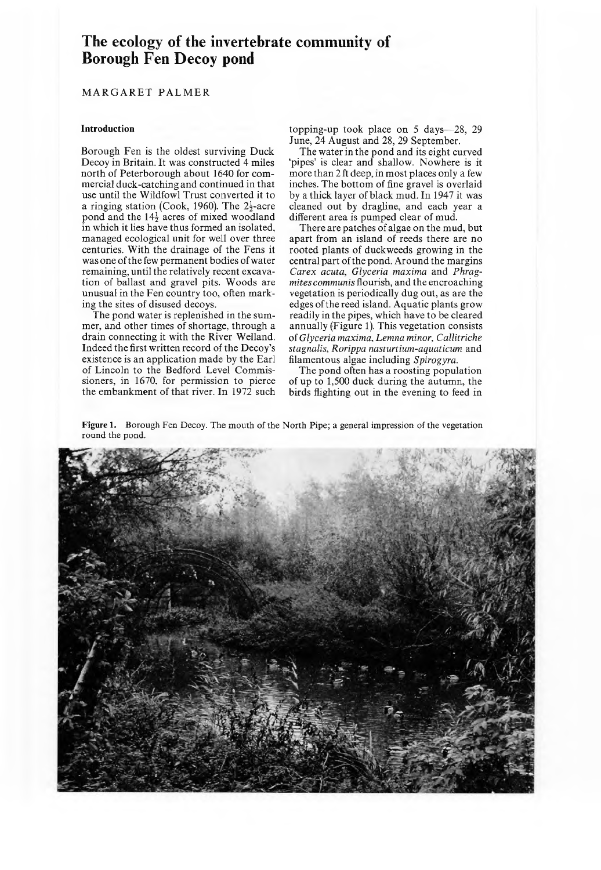# **The ecology of the invertebrate community of Borough Fen Decoy pond**

### MARGARET PALMER

### **Introduction**

Borough Fen is the oldest surviving Duck Decoy in Britain. It was constructed 4 miles north of Peterborough about 1640 for com mercial duck-catching and continued in that use until the Wildfowl Trust converted it to a ringing station (Cook, 1960). The  $2\frac{1}{2}$ -acre pond and the  $14\frac{1}{2}$  acres of mixed woodland in which it lies have thus formed an isolated, managed ecological unit for well over three centuries. With the drainage of the Fens it was one of the few permanent bodies of water remaining, until the relatively recent excavation of ballast and gravel pits. Woods are unusual in the Fen country too, often marking the sites of disused decoys.

The pond water is replenished in the summer, and other times of shortage, through a drain connecting it with the River Welland. Indeed the first written record of the Decoy's existence is an application made by the Earl of Lincoln to the Bedford Level Commissioners, in 1670, for permission to pierce the embankment of that river. In 1972 such topping-up took place on  $5$  days  $-28$ , 29 June, 24 August and 28, 29 September.

The water in the pond and its eight curved 'pipes' is clear and shallow. Nowhere is it more than 2 ft deep, in most places only a few inches. The bottom of fine gravel is overlaid by a thick layer of black mud. In 1947 it was cleaned out by dragline, and each year a different area is pumped clear of mud.

There are patches of algae on the mud, but apart from an island of reeds there are no rooted plants of duckweeds growing in the central part of the pond. Around the margins *Carex acuta, Glyceria maxima* and *Phragmites communis* flourish, and the encroaching vegetation is periodically dug out, as are the edges of the reed island. Aquatic plants grow readily in the pipes, which have to be cleared annually (Figure 1). This vegetation consists of *Glyceria maxima, Lemna minor, Callitriche stagnalis, Rorippa nasturtium-aquaticum* and filam entous algae including *Spirogyra.*

The pond often has a roosting population of up to 1,500 duck during the autumn, the birds flighting out in the evening to feed in

**Figure 1.** Borough Fen Decoy. The mouth of the North Pipe; a general impression of the vegetation round the pond.

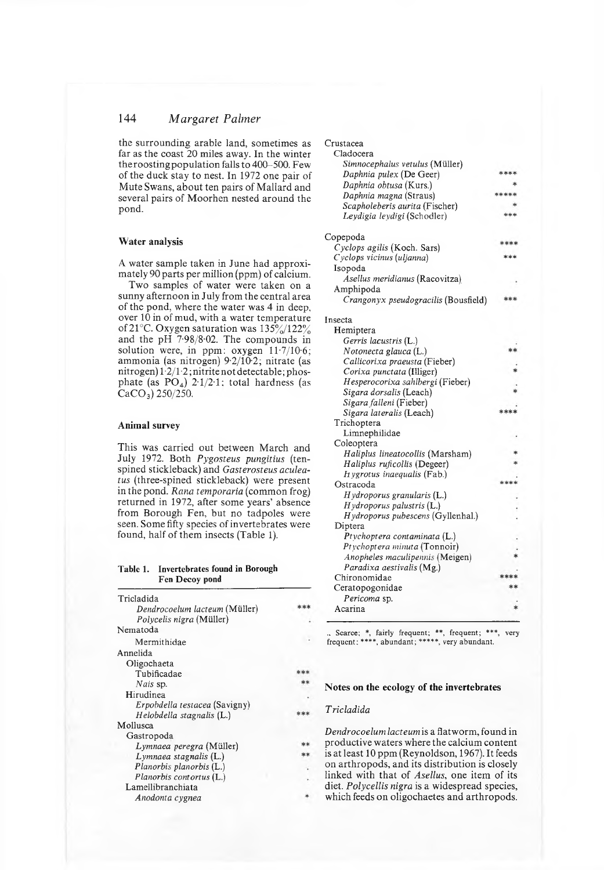### 144 *M argaret Palmer*

the surrounding arable land, sometimes as far as the coast 20 miles away. In the winter the roosting population falls to  $400-500$ . Few of the duck stay to nest. In 1972 one pair of Mute Swans, about ten pairs of Mallard and several pairs of Moorhen nested around the pond.

#### **W ater analysis**

A water sample taken in June had approximately 90 parts per million (ppm) of calcium.

Two samples of water were taken on a sunny afternoon in July from the central area of the pond, where the water was 4 in deep, over  $10$  in of mud, with a water temperature of 21°C. Oxygen saturation was  $135\%/122\%$ and the pH  $7.98/8.02$ . The compounds in solution were, in ppm: oxygen  $11·7/10·6$ ; ammonia (as nitrogen)  $9.2/10.2$ ; nitrate (as nitrogen)  $1\cdot 2/1\cdot 2$ ; nitrite not detectable; phosphate (as  $PO_4$ ) 2.1/2.1; total hardness (as  $CaCO<sub>3</sub>$ ) 250/250.

#### **Animal survey**

This was carried out between March and July 1972. Both *Pygosteus pungitius* (tenspined stickleback) and *Gasterosteus aculeatus* (three-spined stickleback) were present in the pond. *Rana temporaria* (common frog) returned in 1972, after some years' absence from Borough Fen, but no tadpoles were seen. Some fifty species of invertebrates were found, half of them insects (Table 1).

#### **Table 1. Invertebrates found in Borough Fen Decoy pond**

| Tricladida                    |  |
|-------------------------------|--|
| Dendrocoelum lacteum (Müller) |  |
| Polycelis nigra (Müller)      |  |
| Nematoda                      |  |
| Mermithidae                   |  |
| Annelida                      |  |
| Oligochaeta                   |  |
| Tubificadae                   |  |
| Nais sp.                      |  |
| Hirudinea                     |  |
| Erpobdella testacea (Savigny) |  |
| Helobdella stagnalis (L.)     |  |
| Mollusca                      |  |
| Gastropoda                    |  |
| Lymnaea peregra (Müller)      |  |
| Lymnaea stagnalis (L.)        |  |
| Planorbis planorbis (L.)      |  |
| Planorbis contortus (L.)      |  |
| Lamellibranchiata             |  |
| Anodonta cygnea               |  |

| Crustacea                                   |      |
|---------------------------------------------|------|
| Cladocera                                   |      |
| Simnocephalus vetulus (Müller)              |      |
| Daphnia pulex (De Geer)                     | **** |
| Daphnia obtusa (Kurs.)                      |      |
| Daphnia magna (Straus)                      |      |
| Scapholeberis aurita (Fischer)              |      |
| Leydigia leydigi (Schodler)                 |      |
| Copepoda                                    | 家家家  |
| Cyclops agilis (Koch. Sars)                 |      |
| Cyclops vicinus (uljanna)                   |      |
| Isopoda                                     |      |
| Asellus meridianus (Racovitza)<br>Amphipoda |      |
| Crangonyx pseudogracilis (Bousfield)        |      |
| Insecta                                     |      |
| Hemiptera                                   |      |
| Gerris lacustris (L.)                       |      |
| Notonecta glauca (L.)                       |      |
| Callicorixa praeusta (Fieber)               |      |
| Corixa punctata (Illiger)                   |      |
| Hesperocorixa sahlbergi (Fieber)            |      |
| Sigara dorsalis (Leach)                     |      |
| Sigara falleni (Fieber)                     |      |
| Sigara lateralis (Leach)                    |      |
| Trichoptera                                 |      |
| Limnephilidae                               |      |
| Coleoptera                                  |      |
| Haliplus lineatocollis (Marsham)            |      |
| Haliplus ruficollis (Degeer)                |      |
| Hygrotus inaequalis (Fab.)                  |      |
| Ostracoda                                   |      |
| Hydroporus granularis (L.)                  |      |
| Hydroporus palustris (L.)                   |      |
| Hydroporus pubescens (Gyllenhal.)           |      |
| Diptera                                     |      |
| Ptychoptera contaminata (L.)                |      |
| Ptychoptera minuta (Tonnoir)                |      |
| Anopheles maculipennis (Meigen)             |      |
| Paradixa aestivalis (Mg.)                   |      |
| Chironomidae                                |      |
| Ceratopogonidae                             |      |
| Pericoma sp.<br>Acarina                     |      |
|                                             |      |

., Scarce; \*, fairly frequent; \*\*, frequent; \*\*\*, very frequent; »\*\*\*, abundant; \*\*»\*\*, very abundant.

#### Notes on the ecology of the invertebrates

### *T ricladida*

٠.

\*\*

\*\*\*

\*\* \*\* *Dendrocoelum lacteum* is a flatworm , found in productive waters where the calcium content is at least 10 ppm (Reynoldson, 1967). It feeds on arthropods, and its distribution is closely linked with that of *Asellus*, one item of its diet. *Polycellis nigra* is a widespread species, which feeds on oligochaetes and arthropods.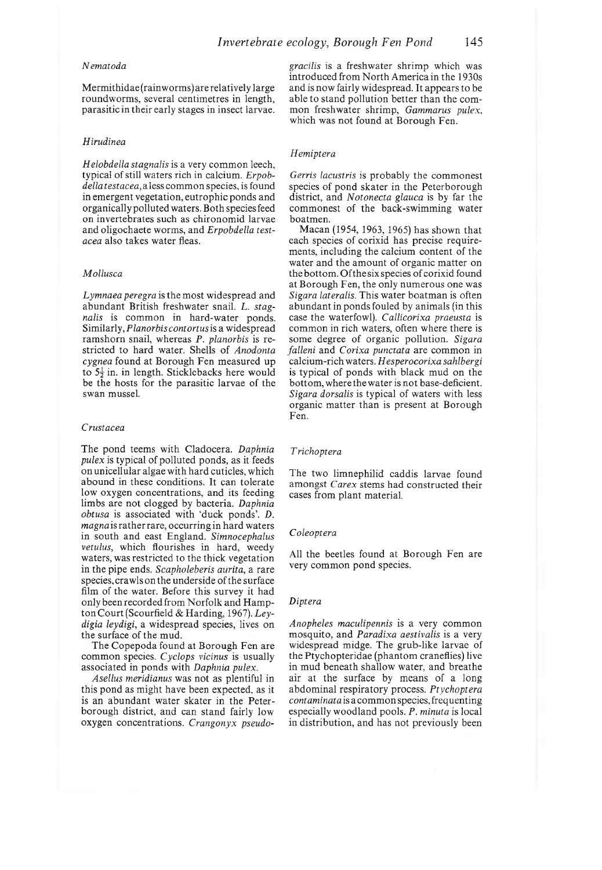#### *Nematoda*

Mermithidae(rainworms) are relatively large roundworms, several centimetres in length. parasitic in their early stages in insect larvae.

#### *Hirudinea*

*Helobdella stagnalis* is a very common leech, typical of still w aters rich in calcium. *Erpobdella testacea*, a less common species, is found in emergent vegetation, eutrophic ponds and organically polluted waters. Both species feed on invertebrates such as chironomid larvae and oligochaete worms, and *Erpobdella testacea* also takes water fleas.

#### *Mollusca*

*Lymnaea peregra* is the most widespread and abundant British freshwater snail. L. stag*nalis* is common in hard-water ponds. Similarly, *Planorbis contortus* is a widespread ram shorn snail, whereas *P. planorbis* is restricted to hard water. Shells of *Anodonta* cygnea found at Borough Fen measured up to  $5\frac{1}{2}$  in. in length. Sticklebacks here would be the hosts for the parasitic larvae of the swan mussel.

#### *Crustacea*

The pond teems with Cladocera. *Daphnia pulex* is typical of polluted ponds, as it feeds on unicellular algae with hard cuticles, which abound in these conditions. It can tolerate low oxygen concentrations, and its feeding limbs are not clogged by bacteria. *Daphnia obtusa* is associated with 'duck ponds'. *D. magna* is rather rare, occurring in hard waters in south and east England. *Simnocephalus vetulus,* which flourishes in hard, weedy waters, was restricted to the thick vegetation in the pipe ends. *Scapholeberis aurita,* a rare species, crawls on the underside of the surface film of the water. Before this survey it had only been recorded from Norfolk and Hampton Court (Scourfield & Harding, 1967). Leydigia leydigi, a widespread species, lives on the surface of the mud.

The Copepoda found at Borough Fen are common species. *Cyclops vicinus* is usually associated in ponds with *Daphnia pulex.*

*Asellus meridianus* was not as plentiful in this pond as might have been expected, as it is an abundant water skater in the Peterborough district, and can stand fairly low oxygen concentrations. *Crangonyx pseudo-* gracilis is a freshwater shrimp which was introduced from North America in the 1930s and is now fairly widespread. It appears to be able to stand pollution better than the common freshwater shrimp, *Gammarus pulex*, which was not found at Borough Fen.

#### *Hemiptera*

*Gerris lacustris* is probably the commonest species of pond skater in the Peterborough district, and *Notonecta glauca* is by far the commonest of the back-swimming water boatmen.

Macan (1954, 1963, 1965) has shown that each species of corixid has precise requirements, including the calcium content of the water and the amount of organic matter on the bottom. Of the six species of corixid found at Borough Fen, the only numerous one was *Sigara lateralis.* This water boatman is often abundant in ponds fouled by animals (in this case the waterfowl). *Callicorixa praeusta* is common in rich waters, often where there is some degree of organic pollution. *Sigara falleni* and *Corixa punctata* are common in calcium -rich waters. *Hesperocorixa sahlbergi* is typical of ponds with black mud on the bottom, where the water is not base-deficient. *Sigara dorsalis* is typical of waters with less organic matter than is present at Borough Fen.

#### *T richoptera*

The two limnephilid caddis larvae found am ongst *Carex* stems had constructed their cases from plant material.

#### *Coleoptera*

All the beetles found at Borough Fen are very common pond species.

### *Diptera*

*Anopheles maculipennis* is a very common m osquito, and *Paradixa aestivalis* is a very widespread midge. The grub-like larvae of the Ptychopteridae (phantom craneflies) live in mud beneath shallow water, and breathe air at the surface by means of a long abdom inal respiratory process. *Ptychoptera contaminata* is a common species, frequenting especially w oodland pools. *P. minuta* is local in distribution, and has not previously been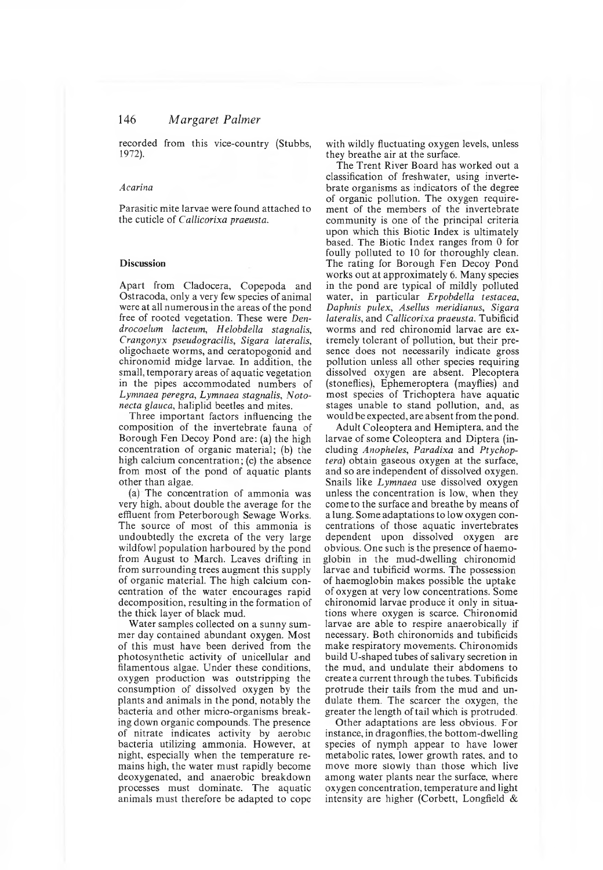### 146 *M argaret Palmer*

recorded from this vice-country (Stubbs, 1972).

#### *Acarina*

Parasitic mite larvae were found attached to the cuticle of *Callicorixa praeusta.*

#### **Discussion**

Apart from Cladocera, Copepoda and Ostracoda, only a very few species of animal were at all numerous in the areas of the pond free of rooted vegetation. These were *Dendrocoelum lacteum, Helobdella stagnalis, Crangonyx pseudogracilis, Sigara lateralis,* oligochaete worms, and ceratopogonid and chironomid midge larvae. In addition, the small, temporary areas of aquatic vegetation in the pipes accommodated numbers of *Lymnaea per egra, Lymnaea stagnalis, N otonecta glauca,* haliplid beetles and mites.

Three important factors influencing the com position of the invertebrate fauna of Borough Fen Decoy Pond are: (a) the high concentration of organic material; (b) the high calcium concentration; (c) the absence from most of the pond of aquatic plants other than algae.

(a) The concentration of ammonia was very high, about double the average for the effluent from Peterborough Sewage Works. The source of most of this ammonia is undoubtedly the excreta of the very large wildfowl population harboured by the pond from August to March. Leaves drifting in from surrounding trees augment this supply of organic m aterial. The high calcium concentration of the water encourages rapid decomposition, resulting in the formation of the thick layer of black mud.

Water samples collected on a sunny summer day contained abundant oxygen. Most of this m ust have been derived from the photosynthetic activity of unicellular and filamentous algae. Under these conditions, oxygen production was outstripping the consumption of dissolved oxygen by the plants and animals in the pond, notably the bacteria and other micro-organisms breaking down organic compounds. The presence of nitrate indicates activity by aerobic bacteria utilizing ammonia. However, at night, especially when the temperature remains high, the water must rapidly become deoxygenated, and anaerobic breakdown processes must dominate. The aquatic animals must therefore be adapted to cope with wildly fluctuating oxygen levels, unless they breathe air at the surface.

The Trent River Board has worked out a classification of freshwater, using invertebrate organisms as indicators of the degree of organic pollution. The oxygen requirement of the members of the invertebrate community is one of the principal criteria upon which this Biotic Index is ultimately based. The Biotic Index ranges from 0 for foully polluted to 10 for thoroughly clean. The rating for Borough Fen Decoy Pond works out at approximately 6. Many species in the pond are typical of mildly polluted water, in particular *Erpobdella testacea, Daphnis pulex, Asellus meridianus, Sigara lateralis,* and *Callicorixa praeusta.* Tubificid worms and red chironomid larvae are extremely tolerant of pollution, but their presence does not necessarily indicate gross pollution unless all other species requiring dissolved oxygen are absent. Plecoptera (stoneflies), Ephemeroptera (mayflies) and most species of Trichoptera have aquatic stages unable to stand pollution, and, as would be expected, are absent from the pond.

Adult Coleoptera and Hemiptera, and the larvae of some Coleoptera and Diptera (including *Anopheles, Paradixa* and *Ptychoptera)* obtain gaseous oxygen at the surface, and so are independent of dissolved oxygen. Snails like *Lymnaea* use dissolved oxygen unless the concentration is low, when they come to the surface and breathe by means of a lung. Some adaptations to low oxygen concentrations of those aquatic invertebrates dependent upon dissolved oxygen are obvious. One such is the presence of haemoglobin in the mud-dwelling chironomid larvae and tubificid worms. The possession of haem oglobin m akes possible the uptake of oxygen at very low concentrations. Some chironomid larvae produce it only in situations where oxygen is scarce. Chironomid larvae are able to respire anaerobically if necessary. Both chironomids and tubificids make respiratory movements. Chironomids build U -shaped tubes of salivary secretion in the mud, and undulate their abdomens to create a current through the tubes. Tubificids protrude their tails from the mud and undulate them. The scarcer the oxygen, the greater the length of tail which is protruded.

Other adaptations are less obvious. For instance, in dragonflies, the bottom-dwelling species of nymph appear to have lower metabolic rates, lower growth rates, and to move more slowly than those which live among water plants near the surface, where oxygen concentration, tem perature and light intensity are higher (Corbett, Longfield  $&$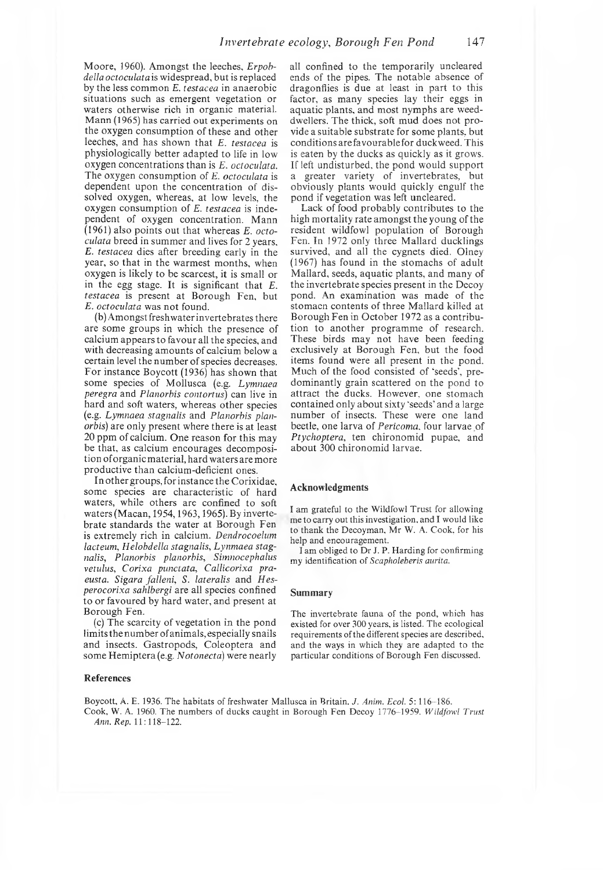Moore, 1960). Amongst the leeches, *Erpobdella octoculatais* widespread, but is replaced by the less common *E. testacea* in anaerobic situations such as emergent vegetation or waters otherwise rich in organic material. Mann (1965) has carried out experiments on the oxygen consumption of these and other leeches, and has shown that *E. testacea* is physiologically better adapted to life in low oxygen concentrations than is *E. octoculata.* The oxygen consum ption of *E. octoculata* is dependent upon the concentration of dissolved oxygen, whereas, at low levels, the oxygen consum ption of *E. testacea* is independent of oxygen concentration. Mann  $(1961)$  also points out that whereas *E. octoculata* breed in summer and lives for 2 years, *E. testacea* dies after breeding early in the year, so that in the warmest months, when oxygen is likely to be scarcest, it is small or in the egg stage. It is significant that *E*. *testacea* is present at Borough Fen, but *E. octoculata* was not found.

(b) Amongst freshw ater invertebrates there are some groups in which the presence of calcium appears to favour all the species, and with decreasing amounts of calcium below a certain level the num ber of species decreases. For instance Boycott  $(1936)$  has shown that some species of Mollusca (e.g. *Lymnaea peregra* and *Planorbis contortus)* can live in hard and soft waters, whereas other species (e.g. *Lymnaea stagnalis* and *Planorbis planorbis)* are only present where there is at least 20 ppm of calcium. One reason for this may be that, as calcium encourages decomposition of organic material, hard waters are more productive than calcium-deficient ones.

In other groups, for instance the Corixidae, some species are characteristic of hard waters, while others are confined to soft waters (Macan, 1954, 1963, 1965). By invertebrate standards the water at Borough Fen is extremely rich in calcium. *Dendrocoelum lacteum, Helobdella stagnalis, Lynm aea stagnalis, Planorbis planorbis, Simnocephalus vetulus, Corixa punctata, Callicorixa pra*eusta. Sigara falleni, S. lateralis and Hes*perocorixa sahlbergi* are all species confined to or favoured by hard water, and present at Borough Fen.

(c) The scarcity of vegetation in the pond limits the num ber of anim als, especially snails and insects. Gastropods, Coleoptera and some Hemiptera (e.g. *Notonecta*) were nearly

#### **References**

all confined to the temporarily uncleared ends of the pipes. The notable absence of dragonflies is due at least in part to this factor, as many species lay their eggs in aquatic plants, and most nymphs are weeddwellers. The thick, soft mud does not provide a suitable substrate for some plants, but conditions are favourable for duckweed. This is eaten by the ducks as quickly as it grows. If left undisturbed, the pond would support a greater variety of invertebrates, but obviously plants would quickly engulf the pond if vegetation was left uncleared.

Lack of food probably contributes to the high mortality rate amongst the young of the resident wildfowl population of Borough Fen. In 1972 only three Mallard ducklings survived, and all the cygnets died. Olney  $(1967)$  has found in the stomachs of adult Mallard, seeds, aquatic plants, and many of the invertebrate species present in the Decoy pond. An examination was made of the stomacn contents of three Mallard killed at Borough Fen in October 1972 as a contribution to another programme of research. These birds may not have been feeding exclusively at Borough Fen, but the food items found were all present in the pond. Much of the food consisted of 'seeds', predominantly grain scattered on the pond to attract the ducks. However, one stomach contained only about sixty 'seeds' and a large num ber of insects. These were one land beetle, one larva of *Pericoma,* four larvae of Ptychoptera, ten chironomid pupae, and about 300 chironomid larvae.

#### **Acknowledgments**

I am grateful to the Wildfowl Trust for allowing me to carry out this investigation, and I would like to thank the Decoyman, Mr W. A. Cook, for his help and encouragement.

I am obliged to Dr J. P. Harding for confirming my identification of *Scapholeberis aurita.*

#### **Summary**

The invertebrate fauna of the pond, which has existed for over 300 years, is listed. The ecological requirements of the diiferent species are described, and the ways in which they are adapted to the particular conditions of Borough Fen discussed.

Boycott, A. E. 1936. The habitats of freshwater Mallusca in Britain. *J. Anim. Ecol.* 5: 116-186. Cook, W. A. 1960. The numbers of ducks caught in Borough Fen Decoy 1776-1959. *Wildfowl Trust Ann. Rep.* 11:118-122.